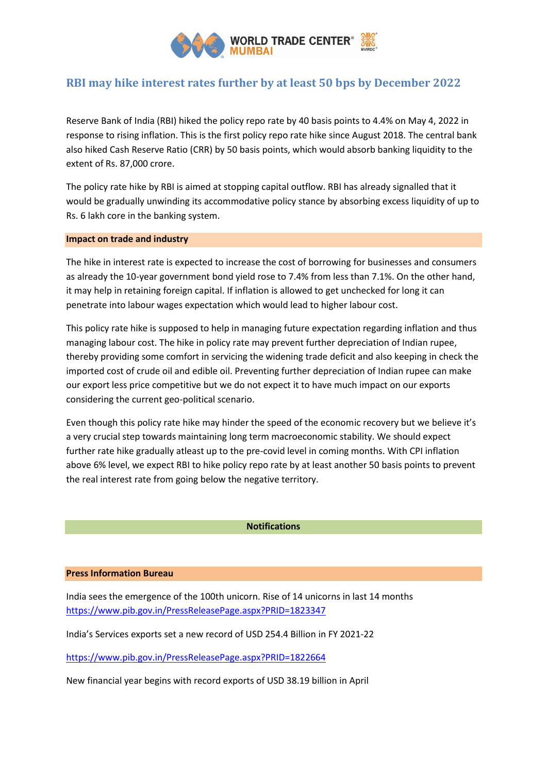

# **RBI may hike interest rates further by at least 50 bps by December 2022**

Reserve Bank of India (RBI) hiked the policy repo rate by 40 basis points to 4.4% on May 4, 2022 in response to rising inflation. This is the first policy repo rate hike since August 2018. The central bank also hiked Cash Reserve Ratio (CRR) by 50 basis points, which would absorb banking liquidity to the extent of Rs. 87,000 crore.

The policy rate hike by RBI is aimed at stopping capital outflow. RBI has already signalled that it would be gradually unwinding its accommodative policy stance by absorbing excess liquidity of up to Rs. 6 lakh core in the banking system.

# **Impact on trade and industry**

The hike in interest rate is expected to increase the cost of borrowing for businesses and consumers as already the 10-year government bond yield rose to 7.4% from less than 7.1%. On the other hand, it may help in retaining foreign capital. If inflation is allowed to get unchecked for long it can penetrate into labour wages expectation which would lead to higher labour cost.

This policy rate hike is supposed to help in managing future expectation regarding inflation and thus managing labour cost. The hike in policy rate may prevent further depreciation of Indian rupee, thereby providing some comfort in servicing the widening trade deficit and also keeping in check the imported cost of crude oil and edible oil. Preventing further depreciation of Indian rupee can make our export less price competitive but we do not expect it to have much impact on our exports considering the current geo-political scenario.

Even though this policy rate hike may hinder the speed of the economic recovery but we believe it's a very crucial step towards maintaining long term macroeconomic stability. We should expect further rate hike gradually atleast up to the pre-covid level in coming months. With CPI inflation above 6% level, we expect RBI to hike policy repo rate by at least another 50 basis points to prevent the real interest rate from going below the negative territory.

#### **Notifications**

### **Press Information Bureau**

India sees the emergence of the 100th unicorn. Rise of 14 unicorns in last 14 months <https://www.pib.gov.in/PressReleasePage.aspx?PRID=1823347>

India's Services exports set a new record of USD 254.4 Billion in FY 2021-22

<https://www.pib.gov.in/PressReleasePage.aspx?PRID=1822664>

New financial year begins with record exports of USD 38.19 billion in April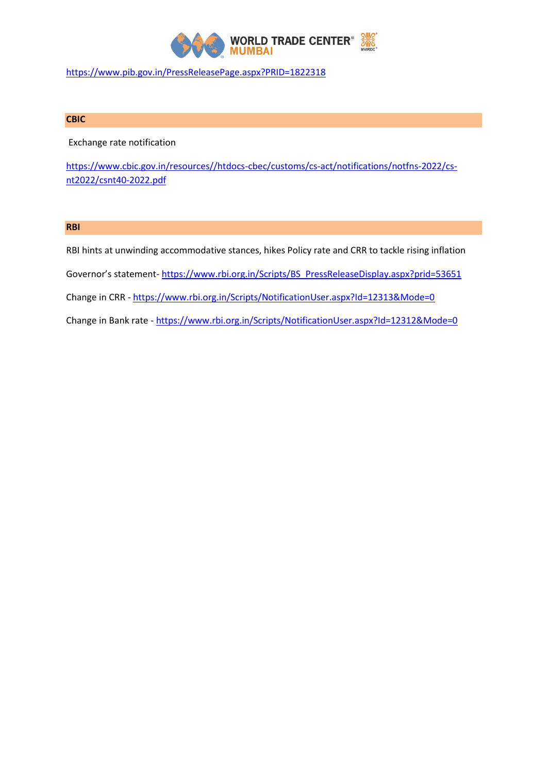

<https://www.pib.gov.in/PressReleasePage.aspx?PRID=1822318>

# **CBIC**

Exchange rate notification

[https://www.cbic.gov.in/resources//htdocs-cbec/customs/cs-act/notifications/notfns-2022/cs](https://www.cbic.gov.in/resources/htdocs-cbec/customs/cs-act/notifications/notfns-2022/cs-nt2022/csnt40-2022.pdf)[nt2022/csnt40-2022.pdf](https://www.cbic.gov.in/resources/htdocs-cbec/customs/cs-act/notifications/notfns-2022/cs-nt2022/csnt40-2022.pdf)

# **RBI**

RBI hints at unwinding accommodative stances, hikes Policy rate and CRR to tackle rising inflation Governor's statement- https://www.rbi.org.in/Scripts/BS\_PressReleaseDisplay.aspx?prid=53651 Change in CRR - <https://www.rbi.org.in/Scripts/NotificationUser.aspx?Id=12313&Mode=0>

Change in Bank rate - <https://www.rbi.org.in/Scripts/NotificationUser.aspx?Id=12312&Mode=0>